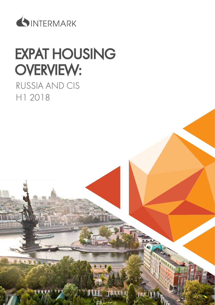

# EXPAT HOUSING OVERVIEW:

## RUSSIA AND CIS H1 2018

第 多 米

16111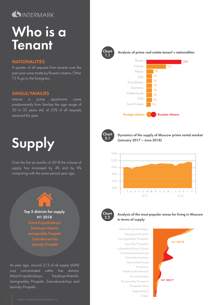## SINTERMARK

# Who is a **Tenant**

#### **NATIONALITIES**

A quarter of all requests from tenants over the past year were made by Russian citizens. Other 75 % go to the foreigners.

#### SINGLE/FAMILIES

Interest in prime apartments came predominantly from families the age range of 30 to 35 years old, at 23% of all requests received this year.



Over the first six months of 2018 the volume of supply has increased by 4% and by 9% comparing with the same period year ago.



As year ago, around 2/3 of all supply (64%) was concentrated within five districts: Arbat-Kropotkinskaya, Tverskaya-Kremlin, Leningradsky Prospekt, Zamoskvorechye and Leninsky Prospekt.



Chart Analysis of prime real estate tenant's nationalities





Dynamics of the supply of Moscow prime rental market (January 2017 – June 2018)





#### Analysis of the most popular areas for living in Moscow in terms of supply

Arbat-Kropotkinskaya Leningradsky Prospect Krasnopresnenskaya Leninsky Prospect Zamoskvorechye Tverskaya-Kremlin Patriarshie Prudy Lubyanka-Kitay-Gorod Kuntsevo Kutuzovsky Prospect Frunzenskaya Taganskaya Prospekt Mira Other Tsvetnoy Boulevard